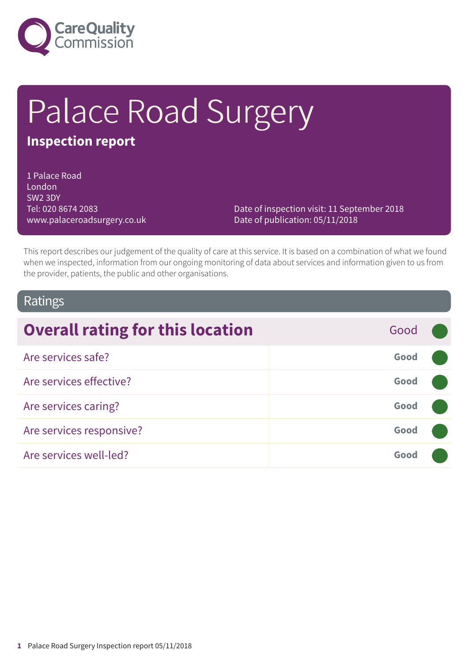

# Palace Road Surgery

### **Inspection report**

1 Palace Road London SW2 3DY Tel: 020 8674 2083 www.palaceroadsurgery.co.uk

Date of inspection visit: 11 September 2018 Date of publication: 05/11/2018

This report describes our judgement of the quality of care at this service. It is based on a combination of what we found when we inspected, information from our ongoing monitoring of data about services and information given to us from the provider, patients, the public and other organisations.

### Ratings

| <b>Overall rating for this location</b> | Good |  |
|-----------------------------------------|------|--|
| Are services safe?                      | Good |  |
| Are services effective?                 | Good |  |
| Are services caring?                    | Good |  |
| Are services responsive?                | Good |  |
| Are services well-led?                  | Good |  |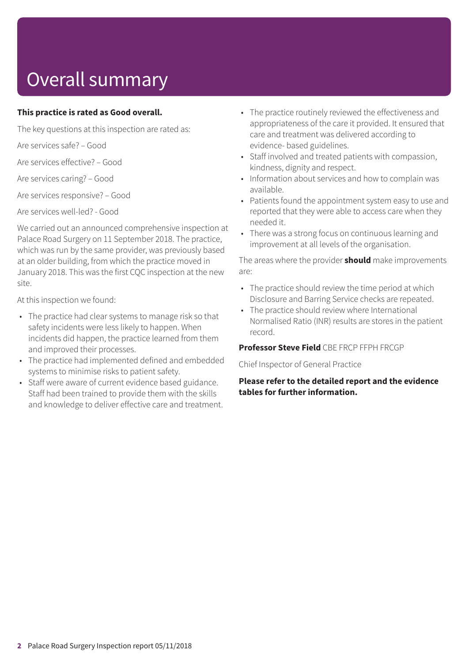# Overall summary

#### **This practice is rated as Good overall.**

The key questions at this inspection are rated as:

Are services safe? – Good

Are services effective? – Good

Are services caring? – Good

Are services responsive? – Good

Are services well-led? - Good

We carried out an announced comprehensive inspection at Palace Road Surgery on 11 September 2018. The practice, which was run by the same provider, was previously based at an older building, from which the practice moved in January 2018. This was the first CQC inspection at the new site.

At this inspection we found:

- The practice had clear systems to manage risk so that safety incidents were less likely to happen. When incidents did happen, the practice learned from them and improved their processes.
- The practice had implemented defined and embedded systems to minimise risks to patient safety.
- Staff were aware of current evidence based guidance. Staff had been trained to provide them with the skills and knowledge to deliver effective care and treatment.
- The practice routinely reviewed the effectiveness and appropriateness of the care it provided. It ensured that care and treatment was delivered according to evidence- based guidelines.
- Staff involved and treated patients with compassion, kindness, dignity and respect.
- Information about services and how to complain was available.
- Patients found the appointment system easy to use and reported that they were able to access care when they needed it.
- There was a strong focus on continuous learning and improvement at all levels of the organisation.

The areas where the provider **should** make improvements are:

- The practice should review the time period at which Disclosure and Barring Service checks are repeated.
- The practice should review where International Normalised Ratio (INR) results are stores in the patient record.

**Professor Steve Field** CBE FRCP FFPH FRCGP

Chief Inspector of General Practice

**Please refer to the detailed report and the evidence tables for further information.**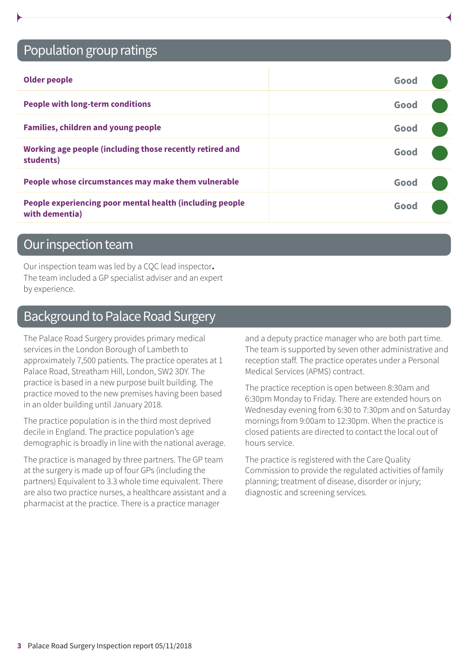### Population group ratings

| <b>Older people</b>                                                        | Good |  |
|----------------------------------------------------------------------------|------|--|
| <b>People with long-term conditions</b>                                    | Good |  |
| <b>Families, children and young people</b>                                 | Good |  |
| Working age people (including those recently retired and<br>students)      | Good |  |
| People whose circumstances may make them vulnerable                        | Good |  |
| People experiencing poor mental health (including people<br>with dementia) | Good |  |

### Our inspection team

Our inspection team was led by a CQC lead inspector**.** The team included a GP specialist adviser and an expert by experience.

### Background to Palace Road Surgery

The Palace Road Surgery provides primary medical services in the London Borough of Lambeth to approximately 7,500 patients. The practice operates at 1 Palace Road, Streatham Hill, London, SW2 3DY. The practice is based in a new purpose built building. The practice moved to the new premises having been based in an older building until January 2018.

The practice population is in the third most deprived decile in England. The practice population's age demographic is broadly in line with the national average.

The practice is managed by three partners. The GP team at the surgery is made up of four GPs (including the partners) Equivalent to 3.3 whole time equivalent. There are also two practice nurses, a healthcare assistant and a pharmacist at the practice. There is a practice manager

and a deputy practice manager who are both part time. The team is supported by seven other administrative and reception staff. The practice operates under a Personal Medical Services (APMS) contract.

The practice reception is open between 8:30am and 6:30pm Monday to Friday. There are extended hours on Wednesday evening from 6:30 to 7:30pm and on Saturday mornings from 9:00am to 12:30pm. When the practice is closed patients are directed to contact the local out of hours service.

The practice is registered with the Care Quality Commission to provide the regulated activities of family planning; treatment of disease, disorder or injury; diagnostic and screening services.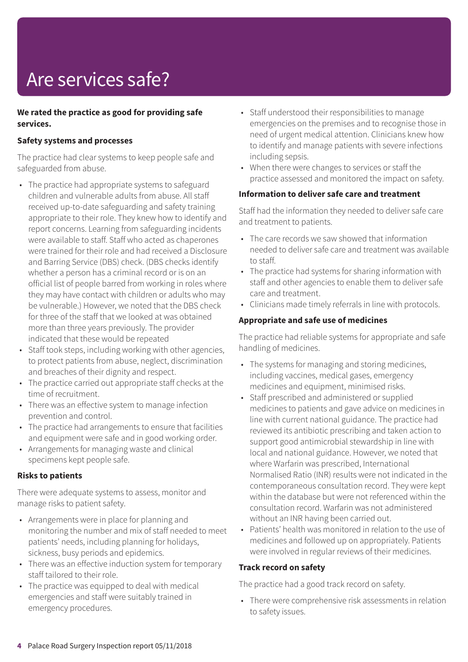# Are services safe?

#### **We rated the practice as good for providing safe services.**

#### **Safety systems and processes**

The practice had clear systems to keep people safe and safeguarded from abuse.

- The practice had appropriate systems to safeguard children and vulnerable adults from abuse. All staff received up-to-date safeguarding and safety training appropriate to their role. They knew how to identify and report concerns. Learning from safeguarding incidents were available to staff. Staff who acted as chaperones were trained for their role and had received a Disclosure and Barring Service (DBS) check. (DBS checks identify whether a person has a criminal record or is on an official list of people barred from working in roles where they may have contact with children or adults who may be vulnerable.) However, we noted that the DBS check for three of the staff that we looked at was obtained more than three years previously. The provider indicated that these would be repeated
- Staff took steps, including working with other agencies, to protect patients from abuse, neglect, discrimination and breaches of their dignity and respect.
- The practice carried out appropriate staff checks at the time of recruitment.
- There was an effective system to manage infection prevention and control.
- The practice had arrangements to ensure that facilities and equipment were safe and in good working order.
- Arrangements for managing waste and clinical specimens kept people safe.

#### **Risks to patients**

There were adequate systems to assess, monitor and manage risks to patient safety.

- Arrangements were in place for planning and monitoring the number and mix of staff needed to meet patients' needs, including planning for holidays, sickness, busy periods and epidemics.
- There was an effective induction system for temporary staff tailored to their role.
- The practice was equipped to deal with medical emergencies and staff were suitably trained in emergency procedures.
- Staff understood their responsibilities to manage emergencies on the premises and to recognise those in need of urgent medical attention. Clinicians knew how to identify and manage patients with severe infections including sepsis.
- When there were changes to services or staff the practice assessed and monitored the impact on safety.

#### **Information to deliver safe care and treatment**

Staff had the information they needed to deliver safe care and treatment to patients.

- The care records we saw showed that information needed to deliver safe care and treatment was available to staff.
- The practice had systems for sharing information with staff and other agencies to enable them to deliver safe care and treatment.
- Clinicians made timely referrals in line with protocols.

#### **Appropriate and safe use of medicines**

The practice had reliable systems for appropriate and safe handling of medicines.

- The systems for managing and storing medicines, including vaccines, medical gases, emergency medicines and equipment, minimised risks.
- Staff prescribed and administered or supplied medicines to patients and gave advice on medicines in line with current national guidance. The practice had reviewed its antibiotic prescribing and taken action to support good antimicrobial stewardship in line with local and national guidance. However, we noted that where Warfarin was prescribed, International Normalised Ratio (INR) results were not indicated in the contemporaneous consultation record. They were kept within the database but were not referenced within the consultation record. Warfarin was not administered without an INR having been carried out.
- Patients' health was monitored in relation to the use of medicines and followed up on appropriately. Patients were involved in regular reviews of their medicines.

#### **Track record on safety**

The practice had a good track record on safety.

• There were comprehensive risk assessments in relation to safety issues.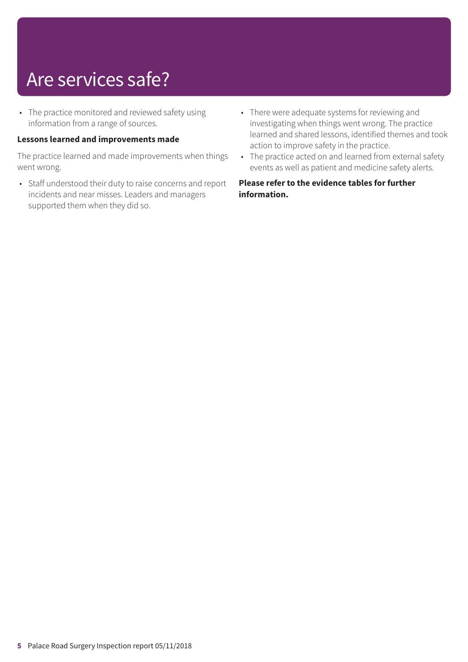### Are services safe?

• The practice monitored and reviewed safety using information from a range of sources.

#### **Lessons learned and improvements made**

The practice learned and made improvements when things went wrong.

- Staff understood their duty to raise concerns and report incidents and near misses. Leaders and managers supported them when they did so.
- There were adequate systems for reviewing and investigating when things went wrong. The practice learned and shared lessons, identified themes and took action to improve safety in the practice.
- The practice acted on and learned from external safety events as well as patient and medicine safety alerts.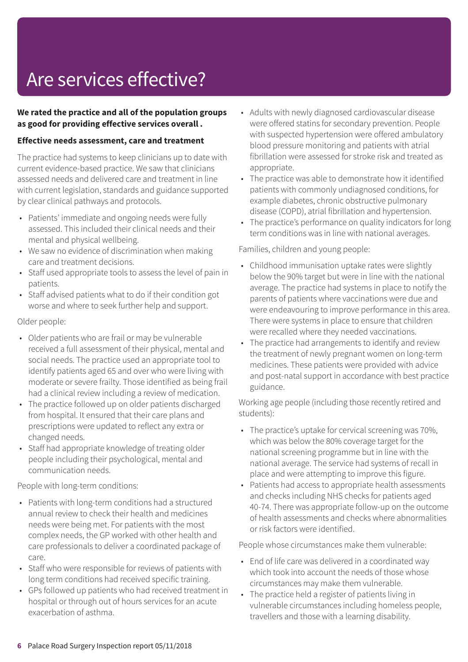# Are services effective?

#### **We rated the practice and all of the population groups as good for providing effective services overall .**

#### **Effective needs assessment, care and treatment**

The practice had systems to keep clinicians up to date with current evidence-based practice. We saw that clinicians assessed needs and delivered care and treatment in line with current legislation, standards and guidance supported by clear clinical pathways and protocols.

- Patients' immediate and ongoing needs were fully assessed. This included their clinical needs and their mental and physical wellbeing.
- We saw no evidence of discrimination when making care and treatment decisions.
- Staff used appropriate tools to assess the level of pain in patients.
- Staff advised patients what to do if their condition got worse and where to seek further help and support.

Older people:

- Older patients who are frail or may be vulnerable received a full assessment of their physical, mental and social needs. The practice used an appropriate tool to identify patients aged 65 and over who were living with moderate or severe frailty. Those identified as being frail had a clinical review including a review of medication.
- The practice followed up on older patients discharged from hospital. It ensured that their care plans and prescriptions were updated to reflect any extra or changed needs.
- Staff had appropriate knowledge of treating older people including their psychological, mental and communication needs.

People with long-term conditions:

- Patients with long-term conditions had a structured annual review to check their health and medicines needs were being met. For patients with the most complex needs, the GP worked with other health and care professionals to deliver a coordinated package of care.
- Staff who were responsible for reviews of patients with long term conditions had received specific training.
- GPs followed up patients who had received treatment in hospital or through out of hours services for an acute exacerbation of asthma.
- Adults with newly diagnosed cardiovascular disease were offered statins for secondary prevention. People with suspected hypertension were offered ambulatory blood pressure monitoring and patients with atrial fibrillation were assessed for stroke risk and treated as appropriate.
- The practice was able to demonstrate how it identified patients with commonly undiagnosed conditions, for example diabetes, chronic obstructive pulmonary disease (COPD), atrial fibrillation and hypertension.
- The practice's performance on quality indicators for long term conditions was in line with national averages.

Families, children and young people:

- Childhood immunisation uptake rates were slightly below the 90% target but were in line with the national average. The practice had systems in place to notify the parents of patients where vaccinations were due and were endeavouring to improve performance in this area. There were systems in place to ensure that children were recalled where they needed vaccinations.
- The practice had arrangements to identify and review the treatment of newly pregnant women on long-term medicines. These patients were provided with advice and post-natal support in accordance with best practice guidance.

Working age people (including those recently retired and students):

- The practice's uptake for cervical screening was 70%, which was below the 80% coverage target for the national screening programme but in line with the national average. The service had systems of recall in place and were attempting to improve this figure.
- Patients had access to appropriate health assessments and checks including NHS checks for patients aged 40-74. There was appropriate follow-up on the outcome of health assessments and checks where abnormalities or risk factors were identified.

People whose circumstances make them vulnerable:

- End of life care was delivered in a coordinated way which took into account the needs of those whose circumstances may make them vulnerable.
- The practice held a register of patients living in vulnerable circumstances including homeless people, travellers and those with a learning disability.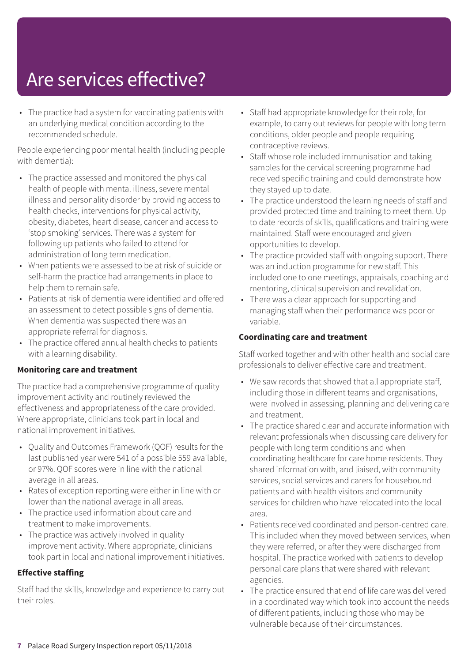### Are services effective?

• The practice had a system for vaccinating patients with an underlying medical condition according to the recommended schedule.

People experiencing poor mental health (including people with dementia):

- The practice assessed and monitored the physical health of people with mental illness, severe mental illness and personality disorder by providing access to health checks, interventions for physical activity, obesity, diabetes, heart disease, cancer and access to 'stop smoking' services. There was a system for following up patients who failed to attend for administration of long term medication.
- When patients were assessed to be at risk of suicide or self-harm the practice had arrangements in place to help them to remain safe.
- Patients at risk of dementia were identified and offered an assessment to detect possible signs of dementia. When dementia was suspected there was an appropriate referral for diagnosis.
- The practice offered annual health checks to patients with a learning disability.

#### **Monitoring care and treatment**

The practice had a comprehensive programme of quality improvement activity and routinely reviewed the effectiveness and appropriateness of the care provided. Where appropriate, clinicians took part in local and national improvement initiatives.

- Quality and Outcomes Framework (QOF) results for the last published year were 541 of a possible 559 available, or 97%. QOF scores were in line with the national average in all areas.
- Rates of exception reporting were either in line with or lower than the national average in all areas.
- The practice used information about care and treatment to make improvements.
- The practice was actively involved in quality improvement activity. Where appropriate, clinicians took part in local and national improvement initiatives.

#### **Effective staffing**

Staff had the skills, knowledge and experience to carry out their roles.

- Staff had appropriate knowledge for their role, for example, to carry out reviews for people with long term conditions, older people and people requiring contraceptive reviews.
- Staff whose role included immunisation and taking samples for the cervical screening programme had received specific training and could demonstrate how they stayed up to date.
- The practice understood the learning needs of staff and provided protected time and training to meet them. Up to date records of skills, qualifications and training were maintained. Staff were encouraged and given opportunities to develop.
- The practice provided staff with ongoing support. There was an induction programme for new staff. This included one to one meetings, appraisals, coaching and mentoring, clinical supervision and revalidation.
- There was a clear approach for supporting and managing staff when their performance was poor or variable.

#### **Coordinating care and treatment**

Staff worked together and with other health and social care professionals to deliver effective care and treatment.

- We saw records that showed that all appropriate staff, including those in different teams and organisations, were involved in assessing, planning and delivering care and treatment.
- The practice shared clear and accurate information with relevant professionals when discussing care delivery for people with long term conditions and when coordinating healthcare for care home residents. They shared information with, and liaised, with community services, social services and carers for housebound patients and with health visitors and community services for children who have relocated into the local area.
- Patients received coordinated and person-centred care. This included when they moved between services, when they were referred, or after they were discharged from hospital. The practice worked with patients to develop personal care plans that were shared with relevant agencies.
- The practice ensured that end of life care was delivered in a coordinated way which took into account the needs of different patients, including those who may be vulnerable because of their circumstances.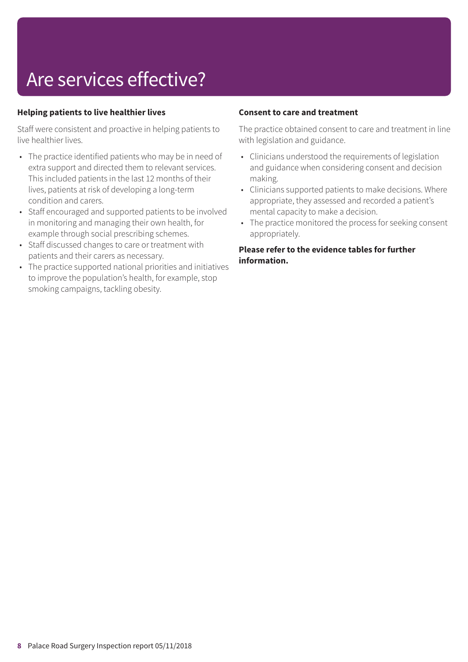# Are services effective?

#### **Helping patients to live healthier lives**

Staff were consistent and proactive in helping patients to live healthier lives.

- The practice identified patients who may be in need of extra support and directed them to relevant services. This included patients in the last 12 months of their lives, patients at risk of developing a long-term condition and carers.
- Staff encouraged and supported patients to be involved in monitoring and managing their own health, for example through social prescribing schemes.
- Staff discussed changes to care or treatment with patients and their carers as necessary.
- The practice supported national priorities and initiatives to improve the population's health, for example, stop smoking campaigns, tackling obesity.

#### **Consent to care and treatment**

The practice obtained consent to care and treatment in line with legislation and guidance.

- Clinicians understood the requirements of legislation and guidance when considering consent and decision making.
- Clinicians supported patients to make decisions. Where appropriate, they assessed and recorded a patient's mental capacity to make a decision.
- The practice monitored the process for seeking consent appropriately.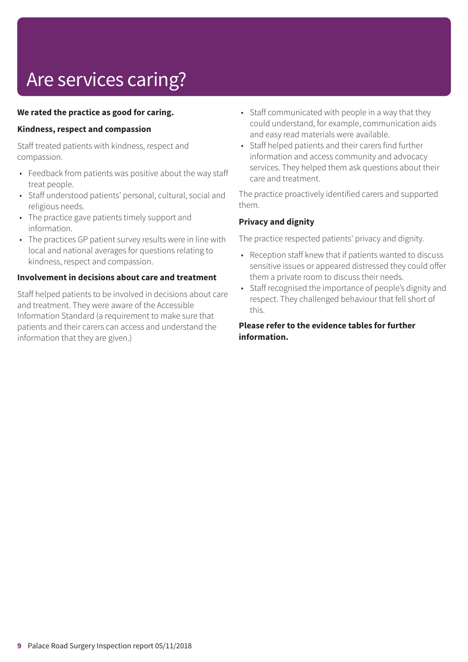# Are services caring?

#### **We rated the practice as good for caring.**

#### **Kindness, respect and compassion**

Staff treated patients with kindness, respect and compassion.

- Feedback from patients was positive about the way staff treat people.
- Staff understood patients' personal, cultural, social and religious needs.
- The practice gave patients timely support and information.
- The practices GP patient survey results were in line with local and national averages for questions relating to kindness, respect and compassion.

#### **Involvement in decisions about care and treatment**

Staff helped patients to be involved in decisions about care and treatment. They were aware of the Accessible Information Standard (a requirement to make sure that patients and their carers can access and understand the information that they are given.)

- Staff communicated with people in a way that they could understand, for example, communication aids and easy read materials were available.
- Staff helped patients and their carers find further information and access community and advocacy services. They helped them ask questions about their care and treatment.

The practice proactively identified carers and supported them.

#### **Privacy and dignity**

The practice respected patients' privacy and dignity.

- Reception staff knew that if patients wanted to discuss sensitive issues or appeared distressed they could offer them a private room to discuss their needs.
- Staff recognised the importance of people's dignity and respect. They challenged behaviour that fell short of this.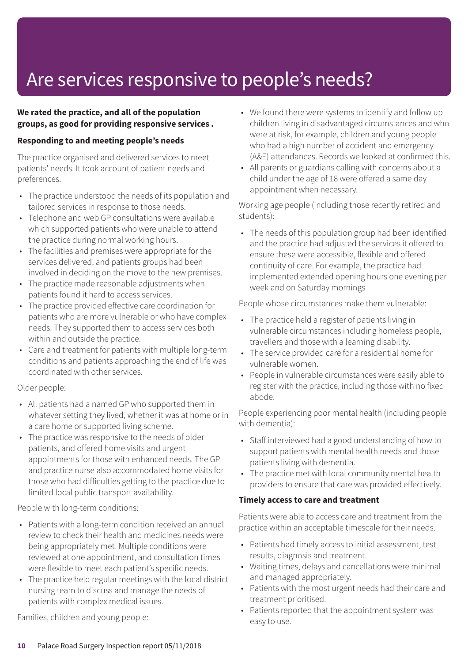### Are services responsive to people's needs?

#### **We rated the practice, and all of the population groups, as good for providing responsive services .**

#### **Responding to and meeting people's needs**

The practice organised and delivered services to meet patients' needs. It took account of patient needs and preferences.

- The practice understood the needs of its population and tailored services in response to those needs.
- Telephone and web GP consultations were available which supported patients who were unable to attend the practice during normal working hours.
- The facilities and premises were appropriate for the services delivered, and patients groups had been involved in deciding on the move to the new premises.
- The practice made reasonable adjustments when patients found it hard to access services.
- The practice provided effective care coordination for patients who are more vulnerable or who have complex needs. They supported them to access services both within and outside the practice.
- Care and treatment for patients with multiple long-term conditions and patients approaching the end of life was coordinated with other services.

#### Older people:

- All patients had a named GP who supported them in whatever setting they lived, whether it was at home or in a care home or supported living scheme.
- The practice was responsive to the needs of older patients, and offered home visits and urgent appointments for those with enhanced needs. The GP and practice nurse also accommodated home visits for those who had difficulties getting to the practice due to limited local public transport availability.

#### People with long-term conditions:

- Patients with a long-term condition received an annual review to check their health and medicines needs were being appropriately met. Multiple conditions were reviewed at one appointment, and consultation times were flexible to meet each patient's specific needs.
- The practice held regular meetings with the local district nursing team to discuss and manage the needs of patients with complex medical issues.

Families, children and young people:

- We found there were systems to identify and follow up children living in disadvantaged circumstances and who were at risk, for example, children and young people who had a high number of accident and emergency (A&E) attendances. Records we looked at confirmed this.
- All parents or guardians calling with concerns about a child under the age of 18 were offered a same day appointment when necessary.

Working age people (including those recently retired and students):

• The needs of this population group had been identified and the practice had adjusted the services it offered to ensure these were accessible, flexible and offered continuity of care. For example, the practice had implemented extended opening hours one evening per week and on Saturday mornings

People whose circumstances make them vulnerable:

- The practice held a register of patients living in vulnerable circumstances including homeless people, travellers and those with a learning disability.
- The service provided care for a residential home for vulnerable women.
- People in vulnerable circumstances were easily able to register with the practice, including those with no fixed abode.

People experiencing poor mental health (including people with dementia):

- Staff interviewed had a good understanding of how to support patients with mental health needs and those patients living with dementia.
- The practice met with local community mental health providers to ensure that care was provided effectively.

#### **Timely access to care and treatment**

Patients were able to access care and treatment from the practice within an acceptable timescale for their needs.

- Patients had timely access to initial assessment, test results, diagnosis and treatment.
- Waiting times, delays and cancellations were minimal and managed appropriately.
- Patients with the most urgent needs had their care and treatment prioritised.
- Patients reported that the appointment system was easy to use.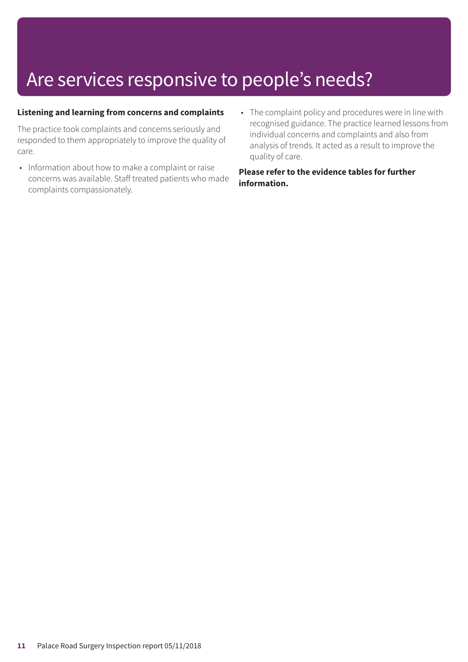### Are services responsive to people's needs?

#### **Listening and learning from concerns and complaints**

The practice took complaints and concerns seriously and responded to them appropriately to improve the quality of care.

- Information about how to make a complaint or raise concerns was available. Staff treated patients who made complaints compassionately.
- The complaint policy and procedures were in line with recognised guidance. The practice learned lessons from individual concerns and complaints and also from analysis of trends. It acted as a result to improve the quality of care.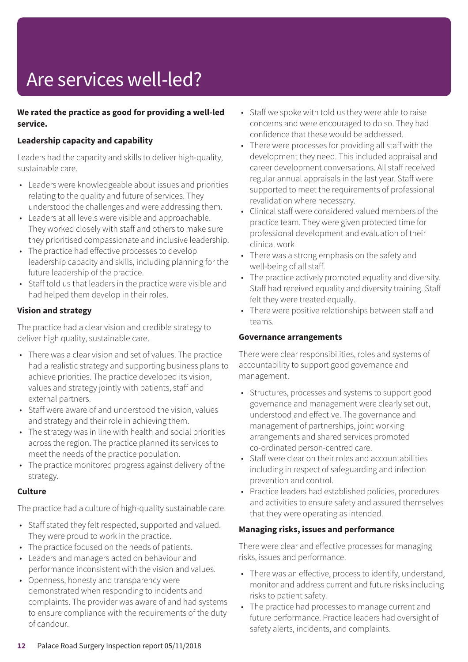# Are services well-led?

#### **We rated the practice as good for providing a well-led service.**

#### **Leadership capacity and capability**

Leaders had the capacity and skills to deliver high-quality, sustainable care.

- Leaders were knowledgeable about issues and priorities relating to the quality and future of services. They understood the challenges and were addressing them.
- Leaders at all levels were visible and approachable. They worked closely with staff and others to make sure they prioritised compassionate and inclusive leadership.
- The practice had effective processes to develop leadership capacity and skills, including planning for the future leadership of the practice.
- Staff told us that leaders in the practice were visible and had helped them develop in their roles.

#### **Vision and strategy**

The practice had a clear vision and credible strategy to deliver high quality, sustainable care.

- There was a clear vision and set of values. The practice had a realistic strategy and supporting business plans to achieve priorities. The practice developed its vision, values and strategy jointly with patients, staff and external partners.
- Staff were aware of and understood the vision, values and strategy and their role in achieving them.
- The strategy was in line with health and social priorities across the region. The practice planned its services to meet the needs of the practice population.
- The practice monitored progress against delivery of the strategy.

#### **Culture**

The practice had a culture of high-quality sustainable care.

- Staff stated they felt respected, supported and valued. They were proud to work in the practice.
- The practice focused on the needs of patients.
- Leaders and managers acted on behaviour and performance inconsistent with the vision and values.
- Openness, honesty and transparency were demonstrated when responding to incidents and complaints. The provider was aware of and had systems to ensure compliance with the requirements of the duty of candour.
- Staff we spoke with told us they were able to raise concerns and were encouraged to do so. They had confidence that these would be addressed.
- There were processes for providing all staff with the development they need. This included appraisal and career development conversations. All staff received regular annual appraisals in the last year. Staff were supported to meet the requirements of professional revalidation where necessary.
- Clinical staff were considered valued members of the practice team. They were given protected time for professional development and evaluation of their clinical work
- There was a strong emphasis on the safety and well-being of all staff.
- The practice actively promoted equality and diversity. Staff had received equality and diversity training. Staff felt they were treated equally.
- There were positive relationships between staff and teams.

#### **Governance arrangements**

There were clear responsibilities, roles and systems of accountability to support good governance and management.

- Structures, processes and systems to support good governance and management were clearly set out, understood and effective. The governance and management of partnerships, joint working arrangements and shared services promoted co-ordinated person-centred care.
- Staff were clear on their roles and accountabilities including in respect of safeguarding and infection prevention and control.
- Practice leaders had established policies, procedures and activities to ensure safety and assured themselves that they were operating as intended.

#### **Managing risks, issues and performance**

There were clear and effective processes for managing risks, issues and performance.

- There was an effective, process to identify, understand, monitor and address current and future risks including risks to patient safety.
- The practice had processes to manage current and future performance. Practice leaders had oversight of safety alerts, incidents, and complaints.